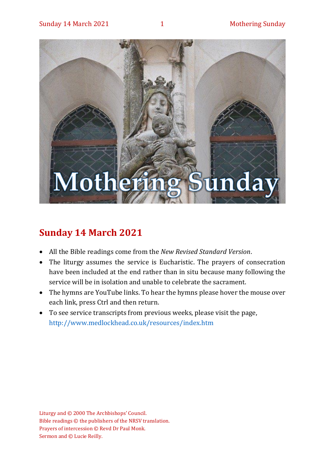

# **Sunday 14 March 2021**

- All the Bible readings come from the *New Revised Standard Version*.
- The liturgy assumes the service is Eucharistic. The prayers of consecration have been included at the end rather than in situ because many following the service will be in isolation and unable to celebrate the sacrament.
- The hymns are YouTube links. To hear the hymns please hover the mouse over each link, press Ctrl and then return.
- To see service transcripts from previous weeks, please visit the page, <http://www.medlockhead.co.uk/resources/index.htm>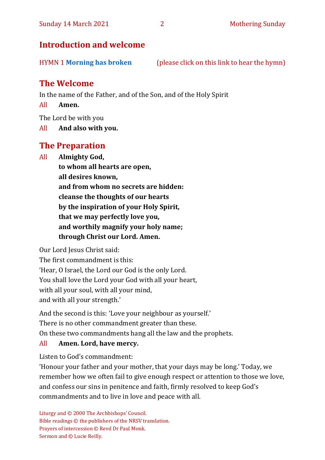## **Introduction and welcome**

| <b>HYMN 1 Morning has broken</b> | (please click on this link to hear the hymn) |  |
|----------------------------------|----------------------------------------------|--|
|                                  |                                              |  |

## **The Welcome**

In the name of the Father, and of the Son, and of the Holy Spirit

All **Amen.**

The Lord be with you

All **And also with you.**

## **The Preparation**

All **Almighty God,**

**to whom all hearts are open, all desires known, and from whom no secrets are hidden: cleanse the thoughts of our hearts by the inspiration of your Holy Spirit, that we may perfectly love you, and worthily magnify your holy name; through Christ our Lord. Amen.**

Our Lord Jesus Christ said:

The first commandment is this:

'Hear, O Israel, the Lord our God is the only Lord.

You shall love the Lord your God with all your heart,

with all your soul, with all your mind,

and with all your strength.'

And the second is this: 'Love your neighbour as yourself.'

There is no other commandment greater than these.

On these two commandments hang all the law and the prophets.

#### All **Amen. Lord, have mercy.**

Listen to God's commandment:

'Honour your father and your mother, that your days may be long.' Today, we remember how we often fail to give enough respect or attention to those we love, and confess our sins in penitence and faith, firmly resolved to keep God's commandments and to live in love and peace with all.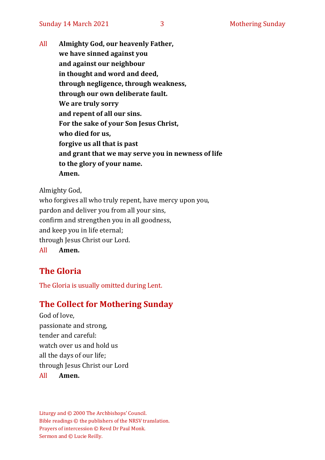All **Almighty God, our heavenly Father, we have sinned against you and against our neighbour in thought and word and deed, through negligence, through weakness, through our own deliberate fault. We are truly sorry and repent of all our sins. For the sake of your Son Jesus Christ, who died for us, forgive us all that is past and grant that we may serve you in newness of life to the glory of your name. Amen.**

Almighty God,

who forgives all who truly repent, have mercy upon you, pardon and deliver you from all your sins, confirm and strengthen you in all goodness, and keep you in life eternal; through Jesus Christ our Lord. All **Amen.**

## **The Gloria**

The Gloria is usually omitted during Lent.

### **The Collect for Mothering Sunday**

God of love, passionate and strong, tender and careful: watch over us and hold us all the days of our life; through Jesus Christ our Lord All **Amen.**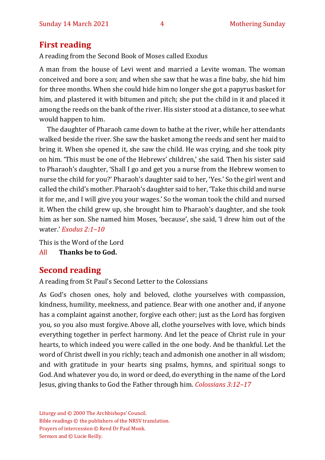## **First reading**

A reading from the Second Book of Moses called Exodus

A man from the house of Levi went and married a Levite woman. The woman conceived and bore a son; and when she saw that he was a fine baby, she hid him for three months. When she could hide him no longer she got a papyrus basket for him, and plastered it with bitumen and pitch; she put the child in it and placed it among the reeds on the bank of the river. His sister stood at a distance, to see what would happen to him.

The daughter of Pharaoh came down to bathe at the river, while her attendants walked beside the river. She saw the basket among the reeds and sent her maid to bring it. When she opened it, she saw the child. He was crying, and she took pity on him. 'This must be one of the Hebrews' children,' she said. Then his sister said to Pharaoh's daughter, 'Shall I go and get you a nurse from the Hebrew women to nurse the child for you?' Pharaoh's daughter said to her, 'Yes.' So the girl went and called the child's mother. Pharaoh's daughter said to her, 'Take this child and nurse it for me, and I will give you your wages.' So the woman took the child and nursed it. When the child grew up, she brought him to Pharaoh's daughter, and she took him as her son. She named him Moses, 'because', she said, 'I drew him out of the water.' *Exodus 2:1–10*

This is the Word of the Lord All **Thanks be to God.**

# **Second reading**

A reading from St Paul's Second Letter to the Colossians

As God's chosen ones, holy and beloved, clothe yourselves with compassion, kindness, humility, meekness, and patience. Bear with one another and, if anyone has a complaint against another, forgive each other; just as the Lord has forgiven you, so you also must forgive. Above all, clothe yourselves with love, which binds everything together in perfect harmony. And let the peace of Christ rule in your hearts, to which indeed you were called in the one body. And be thankful. Let the word of Christ dwell in you richly; teach and admonish one another in all wisdom; and with gratitude in your hearts sing psalms, hymns, and spiritual songs to God.And whatever you do, in word or deed, do everything in the name of the Lord Jesus, giving thanks to God the Father through him. *Colossians 3:12–17*

Liturgy and © 2000 The Archbishops' Council. Bible readings © the publishers of the NRSV translation. Prayers of intercession © Revd Dr Paul Monk. Sermon and © Lucie Reilly.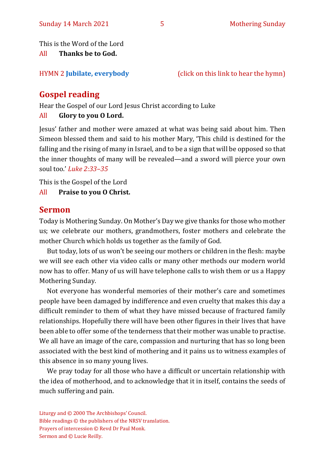This is the Word of the Lord

All **Thanks be to God.**

HYMN 2 **[Jubilate, everybody](https://www.youtube.com/watch?v=nukqkr29DP8)** (click on this link to hear the hymn)

## **Gospel reading**

Hear the Gospel of our Lord Jesus Christ according to Luke

All **Glory to you O Lord.**

Jesus' father and mother were amazed at what was being said about him. Then Simeon blessed them and said to his mother Mary, 'This child is destined for the falling and the rising of many in Israel, and to be a sign that will be opposed so that the inner thoughts of many will be revealed—and a sword will pierce your own soul too.' *Luke 2:33–35*

This is the Gospel of the Lord

All **Praise to you O Christ.** 

## **Sermon**

Today is Mothering Sunday. On Mother's Day we give thanks for those who mother us; we celebrate our mothers, grandmothers, foster mothers and celebrate the mother Church which holds us together as the family of God.

But today, lots of us won't be seeing our mothers or children in the flesh: maybe we will see each other via video calls or many other methods our modern world now has to offer. Many of us will have telephone calls to wish them or us a Happy Mothering Sunday.

Not everyone has wonderful memories of their mother's care and sometimes people have been damaged by indifference and even cruelty that makes this day a difficult reminder to them of what they have missed because of fractured family relationships. Hopefully there will have been other figures in their lives that have been able to offer some of the tenderness that their mother was unable to practise. We all have an image of the care, compassion and nurturing that has so long been associated with the best kind of mothering and it pains us to witness examples of this absence in so many young lives.

We pray today for all those who have a difficult or uncertain relationship with the idea of motherhood, and to acknowledge that it in itself, contains the seeds of much suffering and pain.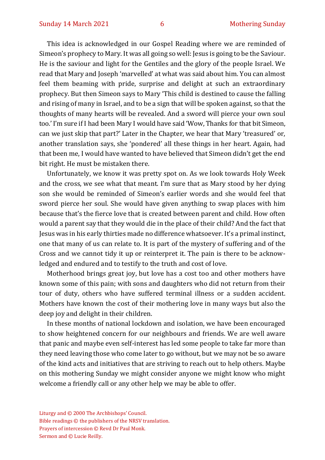This idea is acknowledged in our Gospel Reading where we are reminded of Simeon's prophecy to Mary. It was all going so well: Jesus is going to be the Saviour. He is the saviour and light for the Gentiles and the glory of the people Israel. We read that Mary and Joseph 'marvelled' at what was said about him. You can almost feel them beaming with pride, surprise and delight at such an extraordinary prophecy. But then Simeon says to Mary 'This child is destined to cause the falling and rising of many in Israel, and to be a sign that will be spoken against, so that the thoughts of many hearts will be revealed. And a sword will pierce your own soul too.' I'm sure if I had been Mary I would have said 'Wow, Thanks for that bit Simeon, can we just skip that part?' Later in the Chapter, we hear that Mary 'treasured' or, another translation says, she 'pondered' all these things in her heart. Again, had that been me, I would have wanted to have believed that Simeon didn't get the end bit right. He must be mistaken there.

Unfortunately, we know it was pretty spot on. As we look towards Holy Week and the cross, we see what that meant. I'm sure that as Mary stood by her dying son she would be reminded of Simeon's earlier words and she would feel that sword pierce her soul. She would have given anything to swap places with him because that's the fierce love that is created between parent and child. How often would a parent say that they would die in the place of their child? And the fact that Jesus was in his early thirties made no difference whatsoever. It's a primal instinct, one that many of us can relate to. It is part of the mystery of suffering and of the Cross and we cannot tidy it up or reinterpret it. The pain is there to be acknowledged and endured and to testify to the truth and cost of love.

Motherhood brings great joy, but love has a cost too and other mothers have known some of this pain; with sons and daughters who did not return from their tour of duty, others who have suffered terminal illness or a sudden accident. Mothers have known the cost of their mothering love in many ways but also the deep joy and delight in their children.

In these months of national lockdown and isolation, we have been encouraged to show heightened concern for our neighbours and friends. We are well aware that panic and maybe even self-interest has led some people to take far more than they need leaving those who come later to go without, but we may not be so aware of the kind acts and initiatives that are striving to reach out to help others. Maybe on this mothering Sunday we might consider anyone we might know who might welcome a friendly call or any other help we may be able to offer.

Liturgy and © 2000 The Archbishops' Council. Bible readings © the publishers of the NRSV translation. Prayers of intercession © Revd Dr Paul Monk. Sermon and © Lucie Reilly.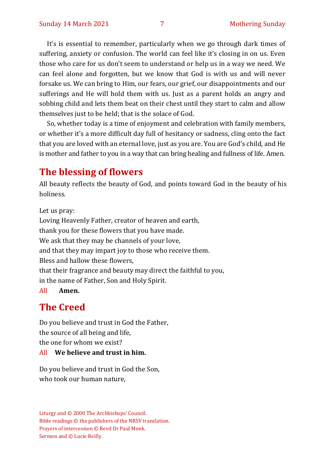It's is essential to remember, particularly when we go through dark times of suffering, anxiety or confusion. The world can feel like it's closing in on us. Even those who care for us don't seem to understand or help us in a way we need. We can feel alone and forgotten, but we know that God is with us and will never forsake us. We can bring to Him, our fears, our grief, our disappointments and our sufferings and He will hold them with us. Just as a parent holds an angry and sobbing child and lets them beat on their chest until they start to calm and allow themselves just to be held; that is the solace of God.

So, whether today is a time of enjoyment and celebration with family members, or whether it's a more difficult day full of hesitancy or sadness, cling onto the fact that you are loved with an eternal love, just as you are. You are God's child, and He is mother and father to you in a way that can bring healing and fullness of life. Amen.

## **The blessing of flowers**

All beauty reflects the beauty of God, and points toward God in the beauty of his holiness.

Let us pray: Loving Heavenly Father, creator of heaven and earth, thank you for these flowers that you have made. We ask that they may be channels of your love, and that they may impart joy to those who receive them. Bless and hallow these flowers, that their fragrance and beauty may direct the faithful to you, in the name of Father, Son and Holy Spirit. All **Amen.**

## **The Creed**

Do you believe and trust in God the Father, the source of all being and life, the one for whom we exist?

#### All **We believe and trust in him.**

Do you believe and trust in God the Son, who took our human nature,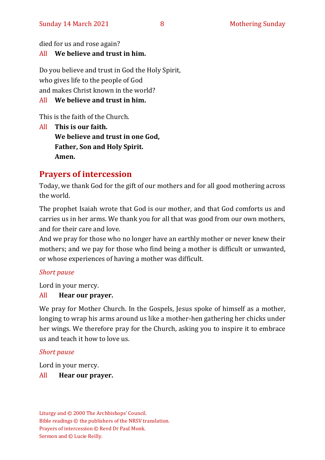died for us and rose again?

#### All **We believe and trust in him.**

Do you believe and trust in God the Holy Spirit, who gives life to the people of God and makes Christ known in the world?

#### All **We believe and trust in him.**

This is the faith of the Church.

All **This is our faith. We believe and trust in one God, Father, Son and Holy Spirit. Amen.**

## **Prayers of intercession**

Today, we thank God for the gift of our mothers and for all good mothering across the world.

The prophet Isaiah wrote that God is our mother, and that God comforts us and carries us in her arms. We thank you for all that was good from our own mothers, and for their care and love.

And we pray for those who no longer have an earthly mother or never knew their mothers; and we pay for those who find being a mother is difficult or unwanted, or whose experiences of having a mother was difficult.

#### *Short pause*

Lord in your mercy.

#### All **Hear our prayer.**

We pray for Mother Church. In the Gospels, Jesus spoke of himself as a mother, longing to wrap his arms around us like a mother-hen gathering her chicks under her wings. We therefore pray for the Church, asking you to inspire it to embrace us and teach it how to love us.

#### *Short pause*

Lord in your mercy.

#### All **Hear our prayer.**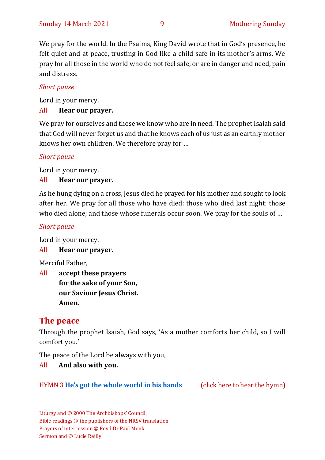We pray for the world. In the Psalms, King David wrote that in God's presence, he felt quiet and at peace, trusting in God like a child safe in its mother's arms. We pray for all those in the world who do not feel safe, or are in danger and need, pain and distress.

#### *Short pause*

Lord in your mercy.

#### All **Hear our prayer.**

We pray for ourselves and those we know who are in need. The prophet Isaiah said that God will never forget us and that he knows each of us just as an earthly mother knows her own children. We therefore pray for …

#### *Short pause*

Lord in your mercy.

#### All **Hear our prayer.**

As he hung dying on a cross, Jesus died he prayed for his mother and sought to look after her. We pray for all those who have died: those who died last night; those who died alone; and those whose funerals occur soon. We pray for the souls of …

#### *Short pause*

Lord in your mercy.

#### All **Hear our prayer.**

Merciful Father,

All **accept these prayers for the sake of your Son, our Saviour Jesus Christ. Amen.**

#### **The peace**

Through the prophet Isaiah, God says, 'As a mother comforts her child, so I will comfort you.'

The peace of the Lord be always with you,

#### All **And also with you.**

#### HYMN 3 [He's got the whole world in his hands](https://www.youtube.com/watch?v=MWpwCE94L3w) (click here to hear the hymn)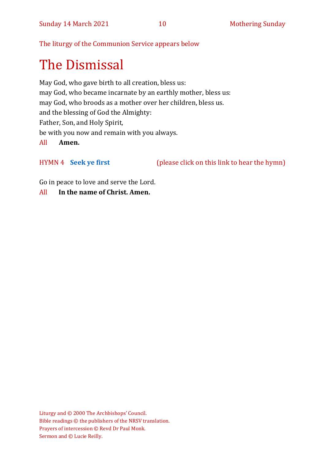The liturgy of the Communion Service appears below

# The Dismissal

May God, who gave birth to all creation, bless us: may God, who became incarnate by an earthly mother, bless us: may God, who broods as a mother over her children, bless us. and the blessing of God the Almighty: Father, Son, and Holy Spirit, be with you now and remain with you always.

#### All **Amen.**

HYMN 4 **[Seek ye first](https://www.youtube.com/watch?v=94I07YCeqBs)** (please click on this link to hear the hymn)

Go in peace to love and serve the Lord.

All **In the name of Christ. Amen.**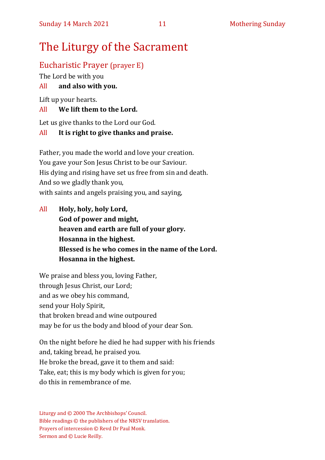# The Liturgy of the Sacrament

## Eucharistic Prayer (prayer E)

The Lord be with you

#### All **and also with you.**

Lift up your hearts.

#### All **We lift them to the Lord.**

Let us give thanks to the Lord our God.

#### All **It is right to give thanks and praise.**

Father, you made the world and love your creation. You gave your Son Jesus Christ to be our Saviour. His dying and rising have set us free from sin and death. And so we gladly thank you, with saints and angels praising you, and saying,

All **Holy, holy, holy Lord, God of power and might, heaven and earth are full of your glory. Hosanna in the highest. Blessed is he who comes in the name of the Lord. Hosanna in the highest.**

We praise and bless you, loving Father, through Jesus Christ, our Lord; and as we obey his command, send your Holy Spirit, that broken bread and wine outpoured may be for us the body and blood of your dear Son.

On the night before he died he had supper with his friends and, taking bread, he praised you. He broke the bread, gave it to them and said: Take, eat; this is my body which is given for you; do this in remembrance of me.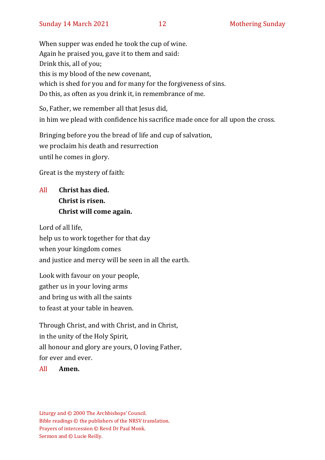When supper was ended he took the cup of wine. Again he praised you, gave it to them and said: Drink this, all of you; this is my blood of the new covenant, which is shed for you and for many for the forgiveness of sins. Do this, as often as you drink it, in remembrance of me.

So, Father, we remember all that Jesus did, in him we plead with confidence his sacrifice made once for all upon the cross.

Bringing before you the bread of life and cup of salvation, we proclaim his death and resurrection until he comes in glory.

Great is the mystery of faith:

## All **Christ has died. Christ is risen. Christ will come again.**

Lord of all life, help us to work together for that day when your kingdom comes and justice and mercy will be seen in all the earth.

Look with favour on your people, gather us in your loving arms and bring us with all the saints to feast at your table in heaven.

Through Christ, and with Christ, and in Christ, in the unity of the Holy Spirit, all honour and glory are yours, O loving Father, for ever and ever.

#### All **Amen.**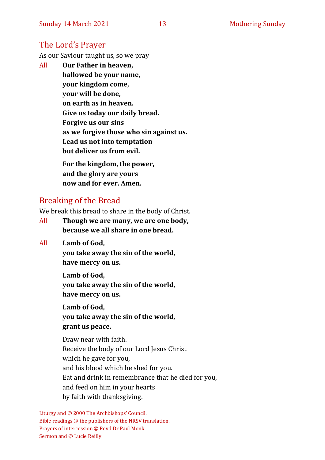#### The Lord's Prayer

As our Saviour taught us, so we pray

All **Our Father in heaven, hallowed be your name, your kingdom come, your will be done, on earth as in heaven. Give us today our daily bread. Forgive us our sins as we forgive those who sin against us. Lead us not into temptation but deliver us from evil. For the kingdom, the power, and the glory are yours**

**now and for ever. Amen.**

#### Breaking of the Bread

We break this bread to share in the body of Christ.

- All **Though we are many, we are one body, because we all share in one bread.**
- All **Lamb of God,**

**you take away the sin of the world, have mercy on us.**

**Lamb of God, you take away the sin of the world, have mercy on us.**

**Lamb of God, you take away the sin of the world, grant us peace.**

Draw near with faith. Receive the body of our Lord Jesus Christ which he gave for you, and his blood which he shed for you. Eat and drink in remembrance that he died for you, and feed on him in your hearts by faith with thanksgiving.